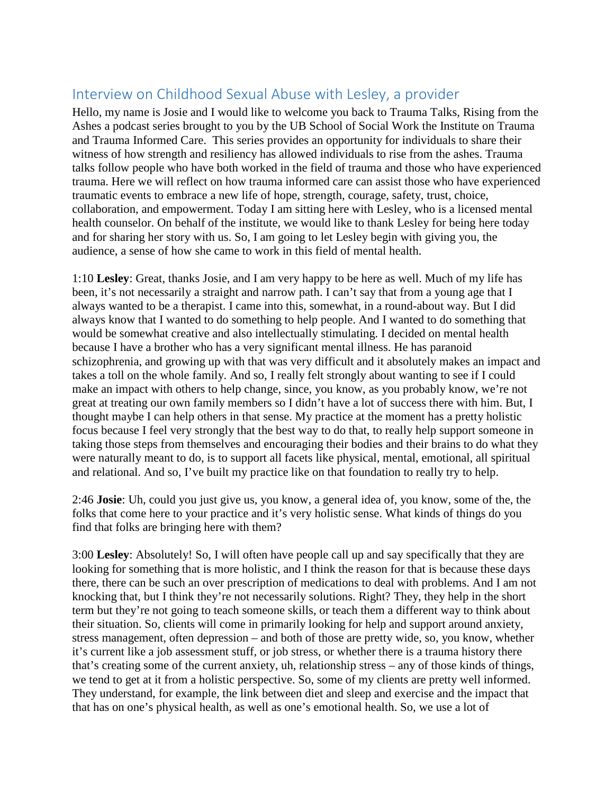## Interview on Childhood Sexual Abuse with Lesley, a provider

Hello, my name is Josie and I would like to welcome you back to Trauma Talks, Rising from the Ashes a podcast series brought to you by the UB School of Social Work the Institute on Trauma and Trauma Informed Care. This series provides an opportunity for individuals to share their witness of how strength and resiliency has allowed individuals to rise from the ashes. Trauma talks follow people who have both worked in the field of trauma and those who have experienced trauma. Here we will reflect on how trauma informed care can assist those who have experienced traumatic events to embrace a new life of hope, strength, courage, safety, trust, choice, collaboration, and empowerment. Today I am sitting here with Lesley, who is a licensed mental health counselor. On behalf of the institute, we would like to thank Lesley for being here today and for sharing her story with us. So, I am going to let Lesley begin with giving you, the audience, a sense of how she came to work in this field of mental health.

1:10 **Lesley**: Great, thanks Josie, and I am very happy to be here as well. Much of my life has been, it's not necessarily a straight and narrow path. I can't say that from a young age that I always wanted to be a therapist. I came into this, somewhat, in a round-about way. But I did always know that I wanted to do something to help people. And I wanted to do something that would be somewhat creative and also intellectually stimulating. I decided on mental health because I have a brother who has a very significant mental illness. He has paranoid schizophrenia, and growing up with that was very difficult and it absolutely makes an impact and takes a toll on the whole family. And so, I really felt strongly about wanting to see if I could make an impact with others to help change, since, you know, as you probably know, we're not great at treating our own family members so I didn't have a lot of success there with him. But, I thought maybe I can help others in that sense. My practice at the moment has a pretty holistic focus because I feel very strongly that the best way to do that, to really help support someone in taking those steps from themselves and encouraging their bodies and their brains to do what they were naturally meant to do, is to support all facets like physical, mental, emotional, all spiritual and relational. And so, I've built my practice like on that foundation to really try to help.

2:46 **Josie**: Uh, could you just give us, you know, a general idea of, you know, some of the, the folks that come here to your practice and it's very holistic sense. What kinds of things do you find that folks are bringing here with them?

3:00 **Lesley**: Absolutely! So, I will often have people call up and say specifically that they are looking for something that is more holistic, and I think the reason for that is because these days there, there can be such an over prescription of medications to deal with problems. And I am not knocking that, but I think they're not necessarily solutions. Right? They, they help in the short term but they're not going to teach someone skills, or teach them a different way to think about their situation. So, clients will come in primarily looking for help and support around anxiety, stress management, often depression – and both of those are pretty wide, so, you know, whether it's current like a job assessment stuff, or job stress, or whether there is a trauma history there that's creating some of the current anxiety, uh, relationship stress – any of those kinds of things, we tend to get at it from a holistic perspective. So, some of my clients are pretty well informed. They understand, for example, the link between diet and sleep and exercise and the impact that that has on one's physical health, as well as one's emotional health. So, we use a lot of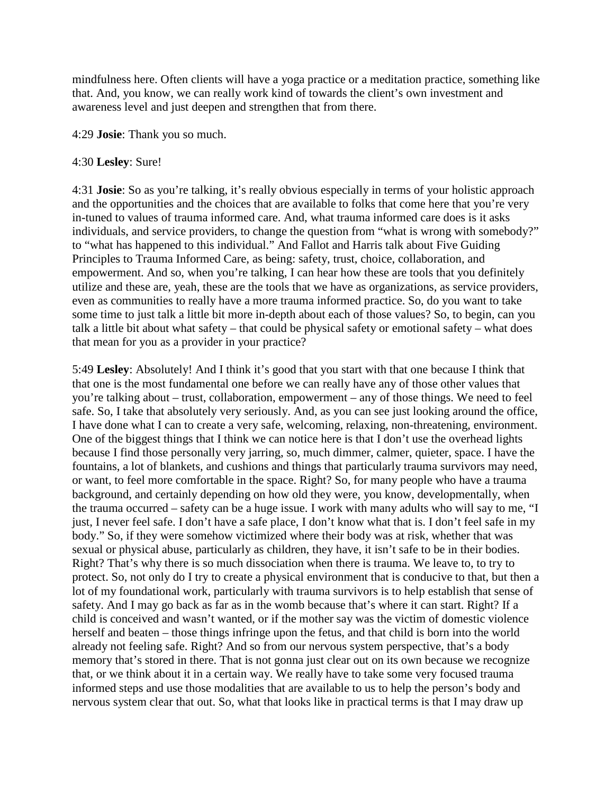mindfulness here. Often clients will have a yoga practice or a meditation practice, something like that. And, you know, we can really work kind of towards the client's own investment and awareness level and just deepen and strengthen that from there.

4:29 **Josie**: Thank you so much.

## 4:30 **Lesley**: Sure!

4:31 **Josie**: So as you're talking, it's really obvious especially in terms of your holistic approach and the opportunities and the choices that are available to folks that come here that you're very in-tuned to values of trauma informed care. And, what trauma informed care does is it asks individuals, and service providers, to change the question from "what is wrong with somebody?" to "what has happened to this individual." And Fallot and Harris talk about Five Guiding Principles to Trauma Informed Care, as being: safety, trust, choice, collaboration, and empowerment. And so, when you're talking, I can hear how these are tools that you definitely utilize and these are, yeah, these are the tools that we have as organizations, as service providers, even as communities to really have a more trauma informed practice. So, do you want to take some time to just talk a little bit more in-depth about each of those values? So, to begin, can you talk a little bit about what safety – that could be physical safety or emotional safety – what does that mean for you as a provider in your practice?

5:49 **Lesley**: Absolutely! And I think it's good that you start with that one because I think that that one is the most fundamental one before we can really have any of those other values that you're talking about – trust, collaboration, empowerment – any of those things. We need to feel safe. So, I take that absolutely very seriously. And, as you can see just looking around the office, I have done what I can to create a very safe, welcoming, relaxing, non-threatening, environment. One of the biggest things that I think we can notice here is that I don't use the overhead lights because I find those personally very jarring, so, much dimmer, calmer, quieter, space. I have the fountains, a lot of blankets, and cushions and things that particularly trauma survivors may need, or want, to feel more comfortable in the space. Right? So, for many people who have a trauma background, and certainly depending on how old they were, you know, developmentally, when the trauma occurred – safety can be a huge issue. I work with many adults who will say to me, "I just, I never feel safe. I don't have a safe place, I don't know what that is. I don't feel safe in my body." So, if they were somehow victimized where their body was at risk, whether that was sexual or physical abuse, particularly as children, they have, it isn't safe to be in their bodies. Right? That's why there is so much dissociation when there is trauma. We leave to, to try to protect. So, not only do I try to create a physical environment that is conducive to that, but then a lot of my foundational work, particularly with trauma survivors is to help establish that sense of safety. And I may go back as far as in the womb because that's where it can start. Right? If a child is conceived and wasn't wanted, or if the mother say was the victim of domestic violence herself and beaten – those things infringe upon the fetus, and that child is born into the world already not feeling safe. Right? And so from our nervous system perspective, that's a body memory that's stored in there. That is not gonna just clear out on its own because we recognize that, or we think about it in a certain way. We really have to take some very focused trauma informed steps and use those modalities that are available to us to help the person's body and nervous system clear that out. So, what that looks like in practical terms is that I may draw up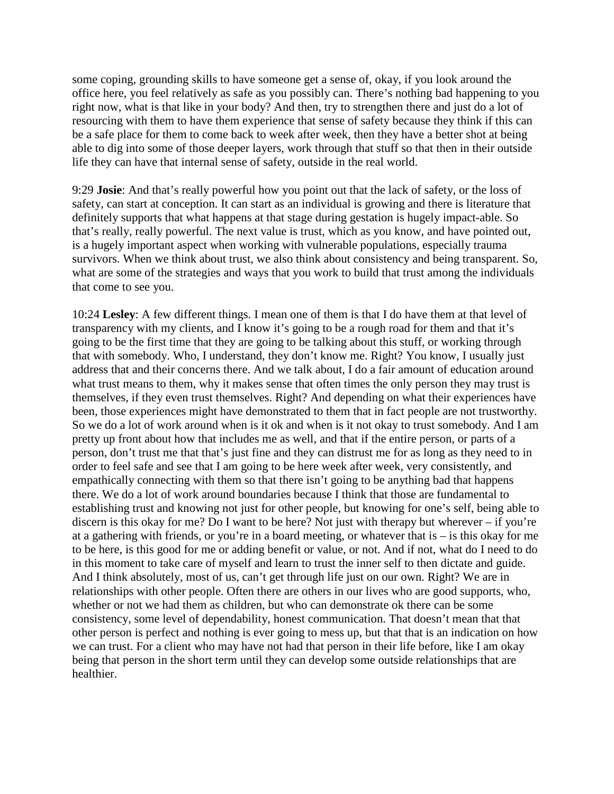some coping, grounding skills to have someone get a sense of, okay, if you look around the office here, you feel relatively as safe as you possibly can. There's nothing bad happening to you right now, what is that like in your body? And then, try to strengthen there and just do a lot of resourcing with them to have them experience that sense of safety because they think if this can be a safe place for them to come back to week after week, then they have a better shot at being able to dig into some of those deeper layers, work through that stuff so that then in their outside life they can have that internal sense of safety, outside in the real world.

9:29 **Josie**: And that's really powerful how you point out that the lack of safety, or the loss of safety, can start at conception. It can start as an individual is growing and there is literature that definitely supports that what happens at that stage during gestation is hugely impact-able. So that's really, really powerful. The next value is trust, which as you know, and have pointed out, is a hugely important aspect when working with vulnerable populations, especially trauma survivors. When we think about trust, we also think about consistency and being transparent. So, what are some of the strategies and ways that you work to build that trust among the individuals that come to see you.

10:24 **Lesley**: A few different things. I mean one of them is that I do have them at that level of transparency with my clients, and I know it's going to be a rough road for them and that it's going to be the first time that they are going to be talking about this stuff, or working through that with somebody. Who, I understand, they don't know me. Right? You know, I usually just address that and their concerns there. And we talk about, I do a fair amount of education around what trust means to them, why it makes sense that often times the only person they may trust is themselves, if they even trust themselves. Right? And depending on what their experiences have been, those experiences might have demonstrated to them that in fact people are not trustworthy. So we do a lot of work around when is it ok and when is it not okay to trust somebody. And I am pretty up front about how that includes me as well, and that if the entire person, or parts of a person, don't trust me that that's just fine and they can distrust me for as long as they need to in order to feel safe and see that I am going to be here week after week, very consistently, and empathically connecting with them so that there isn't going to be anything bad that happens there. We do a lot of work around boundaries because I think that those are fundamental to establishing trust and knowing not just for other people, but knowing for one's self, being able to discern is this okay for me? Do I want to be here? Not just with therapy but wherever – if you're at a gathering with friends, or you're in a board meeting, or whatever that is  $-$  is this okay for me to be here, is this good for me or adding benefit or value, or not. And if not, what do I need to do in this moment to take care of myself and learn to trust the inner self to then dictate and guide. And I think absolutely, most of us, can't get through life just on our own. Right? We are in relationships with other people. Often there are others in our lives who are good supports, who, whether or not we had them as children, but who can demonstrate ok there can be some consistency, some level of dependability, honest communication. That doesn't mean that that other person is perfect and nothing is ever going to mess up, but that that is an indication on how we can trust. For a client who may have not had that person in their life before, like I am okay being that person in the short term until they can develop some outside relationships that are healthier.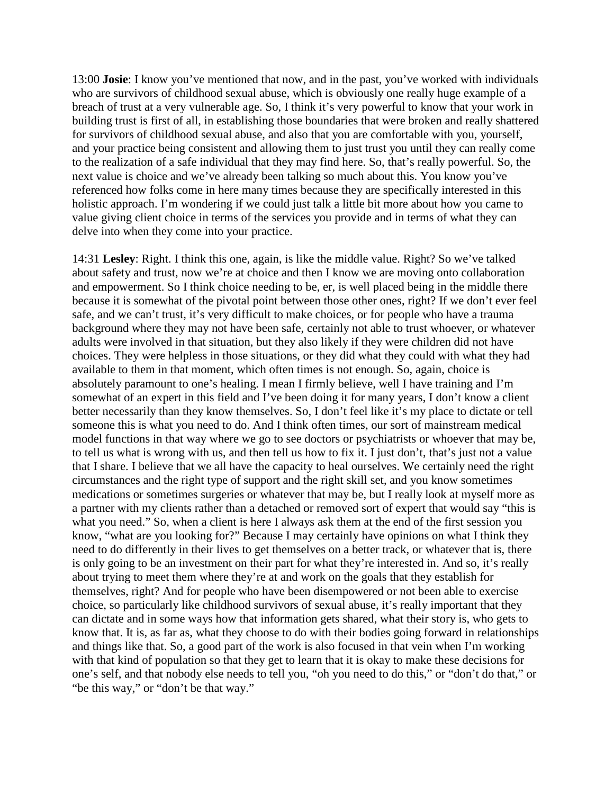13:00 **Josie**: I know you've mentioned that now, and in the past, you've worked with individuals who are survivors of childhood sexual abuse, which is obviously one really huge example of a breach of trust at a very vulnerable age. So, I think it's very powerful to know that your work in building trust is first of all, in establishing those boundaries that were broken and really shattered for survivors of childhood sexual abuse, and also that you are comfortable with you, yourself, and your practice being consistent and allowing them to just trust you until they can really come to the realization of a safe individual that they may find here. So, that's really powerful. So, the next value is choice and we've already been talking so much about this. You know you've referenced how folks come in here many times because they are specifically interested in this holistic approach. I'm wondering if we could just talk a little bit more about how you came to value giving client choice in terms of the services you provide and in terms of what they can delve into when they come into your practice.

14:31 **Lesley**: Right. I think this one, again, is like the middle value. Right? So we've talked about safety and trust, now we're at choice and then I know we are moving onto collaboration and empowerment. So I think choice needing to be, er, is well placed being in the middle there because it is somewhat of the pivotal point between those other ones, right? If we don't ever feel safe, and we can't trust, it's very difficult to make choices, or for people who have a trauma background where they may not have been safe, certainly not able to trust whoever, or whatever adults were involved in that situation, but they also likely if they were children did not have choices. They were helpless in those situations, or they did what they could with what they had available to them in that moment, which often times is not enough. So, again, choice is absolutely paramount to one's healing. I mean I firmly believe, well I have training and I'm somewhat of an expert in this field and I've been doing it for many years, I don't know a client better necessarily than they know themselves. So, I don't feel like it's my place to dictate or tell someone this is what you need to do. And I think often times, our sort of mainstream medical model functions in that way where we go to see doctors or psychiatrists or whoever that may be, to tell us what is wrong with us, and then tell us how to fix it. I just don't, that's just not a value that I share. I believe that we all have the capacity to heal ourselves. We certainly need the right circumstances and the right type of support and the right skill set, and you know sometimes medications or sometimes surgeries or whatever that may be, but I really look at myself more as a partner with my clients rather than a detached or removed sort of expert that would say "this is what you need." So, when a client is here I always ask them at the end of the first session you know, "what are you looking for?" Because I may certainly have opinions on what I think they need to do differently in their lives to get themselves on a better track, or whatever that is, there is only going to be an investment on their part for what they're interested in. And so, it's really about trying to meet them where they're at and work on the goals that they establish for themselves, right? And for people who have been disempowered or not been able to exercise choice, so particularly like childhood survivors of sexual abuse, it's really important that they can dictate and in some ways how that information gets shared, what their story is, who gets to know that. It is, as far as, what they choose to do with their bodies going forward in relationships and things like that. So, a good part of the work is also focused in that vein when I'm working with that kind of population so that they get to learn that it is okay to make these decisions for one's self, and that nobody else needs to tell you, "oh you need to do this," or "don't do that," or "be this way," or "don't be that way."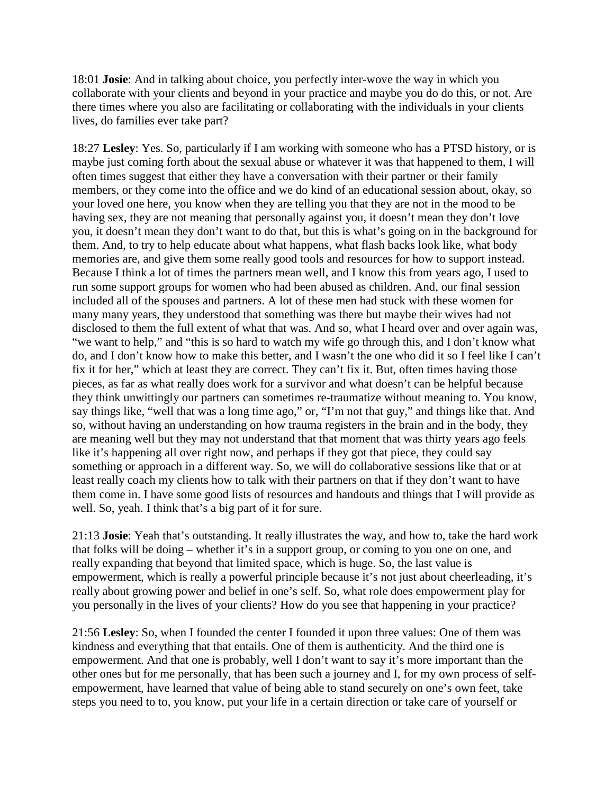18:01 **Josie**: And in talking about choice, you perfectly inter-wove the way in which you collaborate with your clients and beyond in your practice and maybe you do do this, or not. Are there times where you also are facilitating or collaborating with the individuals in your clients lives, do families ever take part?

18:27 **Lesley**: Yes. So, particularly if I am working with someone who has a PTSD history, or is maybe just coming forth about the sexual abuse or whatever it was that happened to them, I will often times suggest that either they have a conversation with their partner or their family members, or they come into the office and we do kind of an educational session about, okay, so your loved one here, you know when they are telling you that they are not in the mood to be having sex, they are not meaning that personally against you, it doesn't mean they don't love you, it doesn't mean they don't want to do that, but this is what's going on in the background for them. And, to try to help educate about what happens, what flash backs look like, what body memories are, and give them some really good tools and resources for how to support instead. Because I think a lot of times the partners mean well, and I know this from years ago, I used to run some support groups for women who had been abused as children. And, our final session included all of the spouses and partners. A lot of these men had stuck with these women for many many years, they understood that something was there but maybe their wives had not disclosed to them the full extent of what that was. And so, what I heard over and over again was, "we want to help," and "this is so hard to watch my wife go through this, and I don't know what do, and I don't know how to make this better, and I wasn't the one who did it so I feel like I can't fix it for her," which at least they are correct. They can't fix it. But, often times having those pieces, as far as what really does work for a survivor and what doesn't can be helpful because they think unwittingly our partners can sometimes re-traumatize without meaning to. You know, say things like, "well that was a long time ago," or, "I'm not that guy," and things like that. And so, without having an understanding on how trauma registers in the brain and in the body, they are meaning well but they may not understand that that moment that was thirty years ago feels like it's happening all over right now, and perhaps if they got that piece, they could say something or approach in a different way. So, we will do collaborative sessions like that or at least really coach my clients how to talk with their partners on that if they don't want to have them come in. I have some good lists of resources and handouts and things that I will provide as well. So, yeah. I think that's a big part of it for sure.

21:13 **Josie**: Yeah that's outstanding. It really illustrates the way, and how to, take the hard work that folks will be doing – whether it's in a support group, or coming to you one on one, and really expanding that beyond that limited space, which is huge. So, the last value is empowerment, which is really a powerful principle because it's not just about cheerleading, it's really about growing power and belief in one's self. So, what role does empowerment play for you personally in the lives of your clients? How do you see that happening in your practice?

21:56 **Lesley**: So, when I founded the center I founded it upon three values: One of them was kindness and everything that that entails. One of them is authenticity. And the third one is empowerment. And that one is probably, well I don't want to say it's more important than the other ones but for me personally, that has been such a journey and I, for my own process of selfempowerment, have learned that value of being able to stand securely on one's own feet, take steps you need to to, you know, put your life in a certain direction or take care of yourself or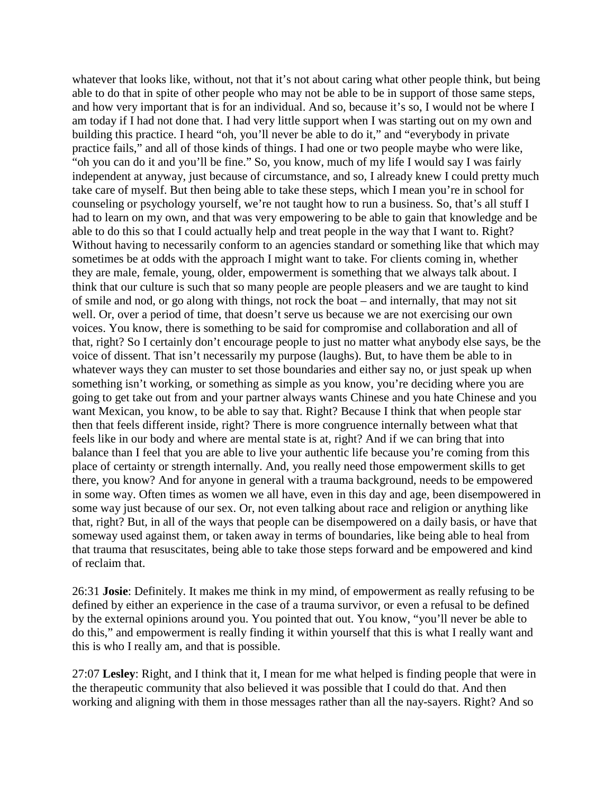whatever that looks like, without, not that it's not about caring what other people think, but being able to do that in spite of other people who may not be able to be in support of those same steps, and how very important that is for an individual. And so, because it's so, I would not be where I am today if I had not done that. I had very little support when I was starting out on my own and building this practice. I heard "oh, you'll never be able to do it," and "everybody in private practice fails," and all of those kinds of things. I had one or two people maybe who were like, "oh you can do it and you'll be fine." So, you know, much of my life I would say I was fairly independent at anyway, just because of circumstance, and so, I already knew I could pretty much take care of myself. But then being able to take these steps, which I mean you're in school for counseling or psychology yourself, we're not taught how to run a business. So, that's all stuff I had to learn on my own, and that was very empowering to be able to gain that knowledge and be able to do this so that I could actually help and treat people in the way that I want to. Right? Without having to necessarily conform to an agencies standard or something like that which may sometimes be at odds with the approach I might want to take. For clients coming in, whether they are male, female, young, older, empowerment is something that we always talk about. I think that our culture is such that so many people are people pleasers and we are taught to kind of smile and nod, or go along with things, not rock the boat – and internally, that may not sit well. Or, over a period of time, that doesn't serve us because we are not exercising our own voices. You know, there is something to be said for compromise and collaboration and all of that, right? So I certainly don't encourage people to just no matter what anybody else says, be the voice of dissent. That isn't necessarily my purpose (laughs). But, to have them be able to in whatever ways they can muster to set those boundaries and either say no, or just speak up when something isn't working, or something as simple as you know, you're deciding where you are going to get take out from and your partner always wants Chinese and you hate Chinese and you want Mexican, you know, to be able to say that. Right? Because I think that when people star then that feels different inside, right? There is more congruence internally between what that feels like in our body and where are mental state is at, right? And if we can bring that into balance than I feel that you are able to live your authentic life because you're coming from this place of certainty or strength internally. And, you really need those empowerment skills to get there, you know? And for anyone in general with a trauma background, needs to be empowered in some way. Often times as women we all have, even in this day and age, been disempowered in some way just because of our sex. Or, not even talking about race and religion or anything like that, right? But, in all of the ways that people can be disempowered on a daily basis, or have that someway used against them, or taken away in terms of boundaries, like being able to heal from that trauma that resuscitates, being able to take those steps forward and be empowered and kind of reclaim that.

26:31 **Josie**: Definitely. It makes me think in my mind, of empowerment as really refusing to be defined by either an experience in the case of a trauma survivor, or even a refusal to be defined by the external opinions around you. You pointed that out. You know, "you'll never be able to do this," and empowerment is really finding it within yourself that this is what I really want and this is who I really am, and that is possible.

27:07 **Lesley**: Right, and I think that it, I mean for me what helped is finding people that were in the therapeutic community that also believed it was possible that I could do that. And then working and aligning with them in those messages rather than all the nay-sayers. Right? And so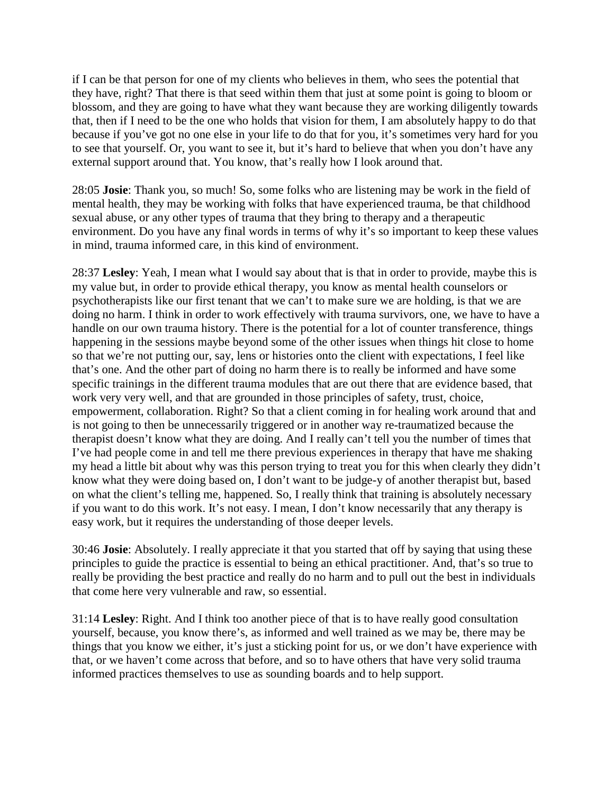if I can be that person for one of my clients who believes in them, who sees the potential that they have, right? That there is that seed within them that just at some point is going to bloom or blossom, and they are going to have what they want because they are working diligently towards that, then if I need to be the one who holds that vision for them, I am absolutely happy to do that because if you've got no one else in your life to do that for you, it's sometimes very hard for you to see that yourself. Or, you want to see it, but it's hard to believe that when you don't have any external support around that. You know, that's really how I look around that.

28:05 **Josie**: Thank you, so much! So, some folks who are listening may be work in the field of mental health, they may be working with folks that have experienced trauma, be that childhood sexual abuse, or any other types of trauma that they bring to therapy and a therapeutic environment. Do you have any final words in terms of why it's so important to keep these values in mind, trauma informed care, in this kind of environment.

28:37 **Lesley**: Yeah, I mean what I would say about that is that in order to provide, maybe this is my value but, in order to provide ethical therapy, you know as mental health counselors or psychotherapists like our first tenant that we can't to make sure we are holding, is that we are doing no harm. I think in order to work effectively with trauma survivors, one, we have to have a handle on our own trauma history. There is the potential for a lot of counter transference, things happening in the sessions maybe beyond some of the other issues when things hit close to home so that we're not putting our, say, lens or histories onto the client with expectations, I feel like that's one. And the other part of doing no harm there is to really be informed and have some specific trainings in the different trauma modules that are out there that are evidence based, that work very very well, and that are grounded in those principles of safety, trust, choice, empowerment, collaboration. Right? So that a client coming in for healing work around that and is not going to then be unnecessarily triggered or in another way re-traumatized because the therapist doesn't know what they are doing. And I really can't tell you the number of times that I've had people come in and tell me there previous experiences in therapy that have me shaking my head a little bit about why was this person trying to treat you for this when clearly they didn't know what they were doing based on, I don't want to be judge-y of another therapist but, based on what the client's telling me, happened. So, I really think that training is absolutely necessary if you want to do this work. It's not easy. I mean, I don't know necessarily that any therapy is easy work, but it requires the understanding of those deeper levels.

30:46 **Josie**: Absolutely. I really appreciate it that you started that off by saying that using these principles to guide the practice is essential to being an ethical practitioner. And, that's so true to really be providing the best practice and really do no harm and to pull out the best in individuals that come here very vulnerable and raw, so essential.

31:14 **Lesley**: Right. And I think too another piece of that is to have really good consultation yourself, because, you know there's, as informed and well trained as we may be, there may be things that you know we either, it's just a sticking point for us, or we don't have experience with that, or we haven't come across that before, and so to have others that have very solid trauma informed practices themselves to use as sounding boards and to help support.